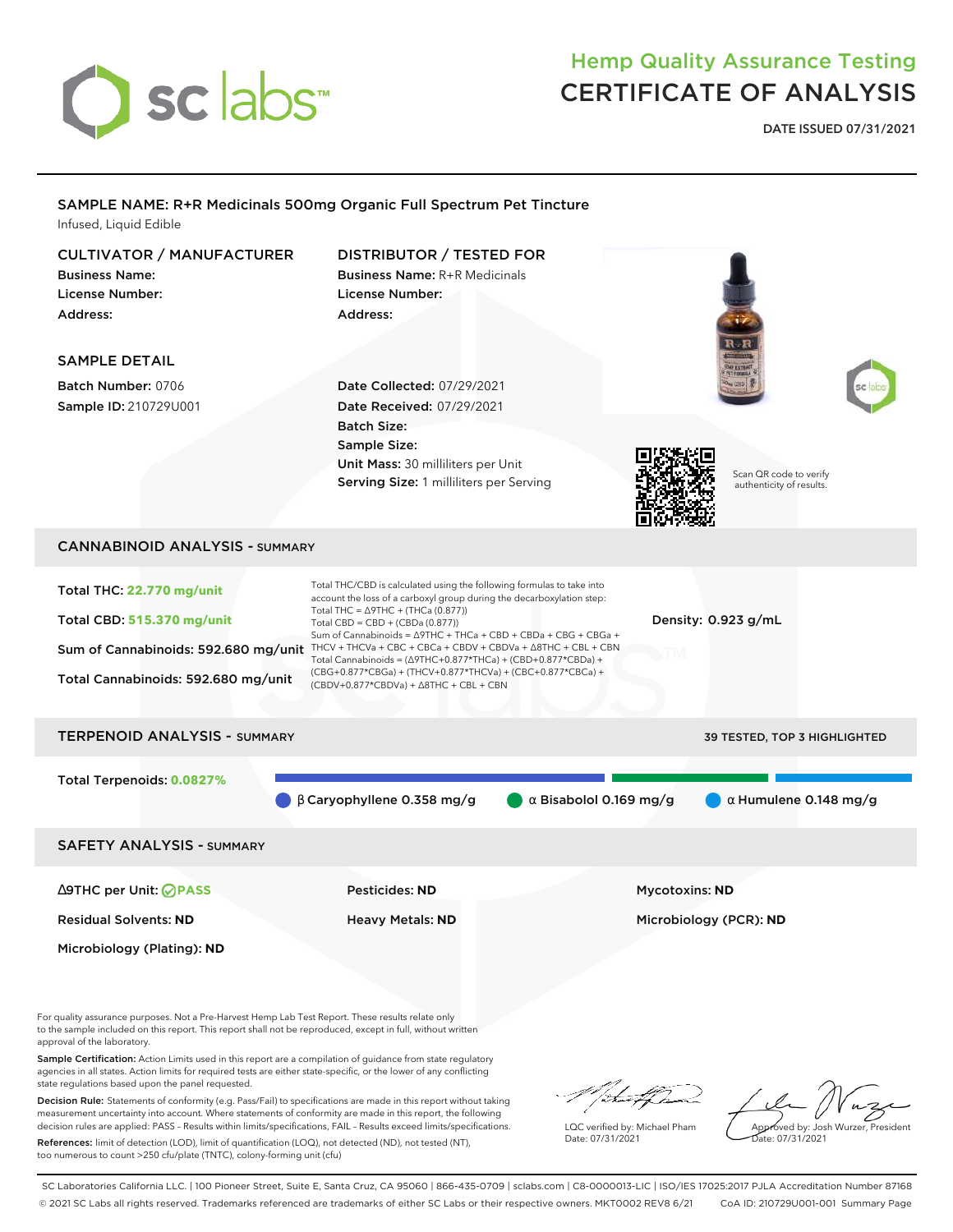

# Hemp Quality Assurance Testing CERTIFICATE OF ANALYSIS

**DATE ISSUED 07/31/2021**

## SAMPLE NAME: R+R Medicinals 500mg Organic Full Spectrum Pet Tincture Infused, Liquid Edible CULTIVATOR / MANUFACTURER DISTRIBUTOR / TESTED FOR Business Name: Business Name: R+R Medicinals License Number: License Number: Address: Address: SAMPLE DETAIL Batch Number: 0706 Date Collected: 07/29/2021 Sample ID: 210729U001 Date Received: 07/29/2021 Batch Size: Sample Size: Unit Mass: 30 milliliters per Unit Scan QR code to verify Serving Size: 1 milliliters per Serving authenticity of results. CANNABINOID ANALYSIS - SUMMARY Total THC/CBD is calculated using the following formulas to take into Total THC: **22.770 mg/unit** account the loss of a carboxyl group during the decarboxylation step: Total THC =  $\triangle$ 9THC + (THCa (0.877)) Total CBD: **515.370 mg/unit** Density: 0.923 g/mL Total CBD = CBD + (CBDa (0.877)) Sum of Cannabinoids = ∆9THC + THCa + CBD + CBDa + CBG + CBGa + Sum of Cannabinoids: 592.680 mg/unit THCV + THCVa + CBC + CBCa + CBDV + CBDVa +  $\Delta$ 8THC + CBL + CBN Total Cannabinoids = (∆9THC+0.877\*THCa) + (CBD+0.877\*CBDa) + (CBG+0.877\*CBGa) + (THCV+0.877\*THCVa) + (CBC+0.877\*CBCa) + Total Cannabinoids: 592.680 mg/unit (CBDV+0.877\*CBDVa) + ∆8THC + CBL + CBN TERPENOID ANALYSIS - SUMMARY 39 TESTED, TOP 3 HIGHLIGHTED Total Terpenoids: **0.0827%** β Caryophyllene 0.358 mg/g α Bisabolol 0.169 mg/g α Humulene 0.148 mg/g SAFETY ANALYSIS - SUMMARY ∆9THC per Unit: **PASS** Pesticides: **ND** Mycotoxins: **ND** Residual Solvents: **ND** Heavy Metals: **ND** Microbiology (PCR): **ND** Microbiology (Plating): **ND** For quality assurance purposes. Not a Pre-Harvest Hemp Lab Test Report. These results relate only to the sample included on this report. This report shall not be reproduced, except in full, without written approval of the laboratory. Sample Certification: Action Limits used in this report are a compilation of guidance from state regulatory agencies in all states. Action limits for required tests are either state-specific, or the lower of any conflicting state regulations based upon the panel requested. "/ that from Decision Rule: Statements of conformity (e.g. Pass/Fail) to specifications are made in this report without taking

measurement uncertainty into account. Where statements of conformity are made in this report, the following decision rules are applied: PASS – Results within limits/specifications, FAIL – Results exceed limits/specifications.

References: limit of detection (LOD), limit of quantification (LOQ), not detected (ND), not tested (NT), too numerous to count >250 cfu/plate (TNTC), colony-forming unit (cfu)

LQC verified by: Michael Pham Date: 07/31/2021

Approved by: Josh Wurzer, President ate: 07/31/2021

SC Laboratories California LLC. | 100 Pioneer Street, Suite E, Santa Cruz, CA 95060 | 866-435-0709 | sclabs.com | C8-0000013-LIC | ISO/IES 17025:2017 PJLA Accreditation Number 87168 © 2021 SC Labs all rights reserved. Trademarks referenced are trademarks of either SC Labs or their respective owners. MKT0002 REV8 6/21 CoA ID: 210729U001-001 Summary Page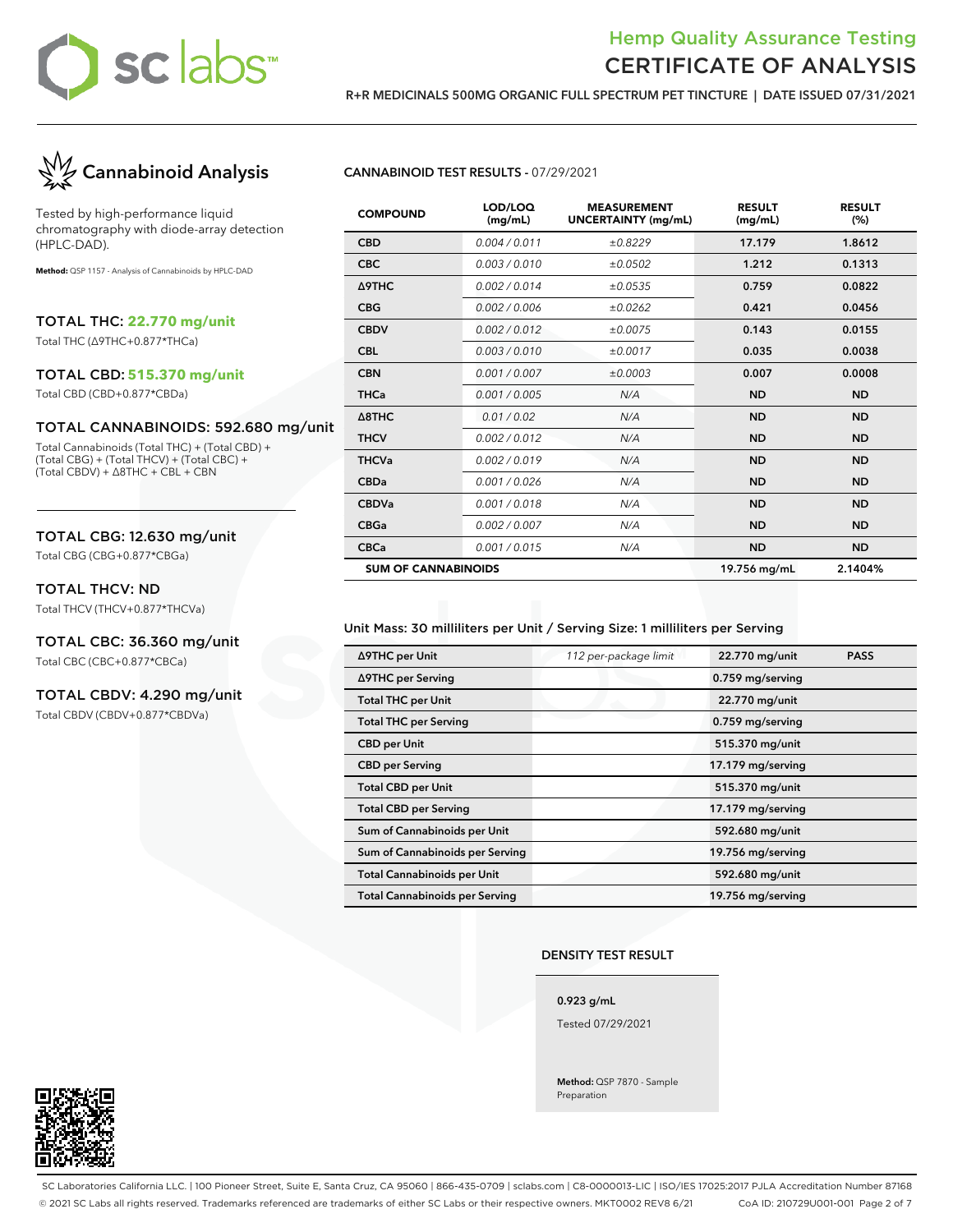# sclabs<sup>\*</sup>

# Hemp Quality Assurance Testing CERTIFICATE OF ANALYSIS

**R+R MEDICINALS 500MG ORGANIC FULL SPECTRUM PET TINCTURE | DATE ISSUED 07/31/2021**



Tested by high-performance liquid chromatography with diode-array detection (HPLC-DAD).

**Method:** QSP 1157 - Analysis of Cannabinoids by HPLC-DAD

TOTAL THC: **22.770 mg/unit**

Total THC (∆9THC+0.877\*THCa)

#### TOTAL CBD: **515.370 mg/unit**

Total CBD (CBD+0.877\*CBDa)

#### TOTAL CANNABINOIDS: 592.680 mg/unit

Total Cannabinoids (Total THC) + (Total CBD) + (Total CBG) + (Total THCV) + (Total CBC) + (Total CBDV) + ∆8THC + CBL + CBN

#### TOTAL CBG: 12.630 mg/unit

Total CBG (CBG+0.877\*CBGa)

#### TOTAL THCV: ND

Total THCV (THCV+0.877\*THCVa)

# TOTAL CBC: 36.360 mg/unit

Total CBC (CBC+0.877\*CBCa)

### TOTAL CBDV: 4.290 mg/unit

Total CBDV (CBDV+0.877\*CBDVa)

#### **CANNABINOID TEST RESULTS -** 07/29/2021

| <b>COMPOUND</b>            | LOD/LOQ<br>(mg/mL) | <b>MEASUREMENT</b><br><b>UNCERTAINTY (mg/mL)</b> | <b>RESULT</b><br>(mg/mL) | <b>RESULT</b><br>(%) |
|----------------------------|--------------------|--------------------------------------------------|--------------------------|----------------------|
| <b>CBD</b>                 | 0.004 / 0.011      | ±0.8229                                          | 17.179                   | 1.8612               |
| <b>CBC</b>                 | 0.003/0.010        | ±0.0502                                          | 1.212                    | 0.1313               |
| Δ9THC                      | 0.002/0.014        | ±0.0535                                          | 0.759                    | 0.0822               |
| <b>CBG</b>                 | 0.002 / 0.006      | ±0.0262                                          | 0.421                    | 0.0456               |
| <b>CBDV</b>                | 0.002/0.012        | ±0.0075                                          | 0.143                    | 0.0155               |
| <b>CBL</b>                 | 0.003/0.010        | ±0.0017                                          | 0.035                    | 0.0038               |
| <b>CBN</b>                 | 0.001 / 0.007      | ±0.0003                                          | 0.007                    | 0.0008               |
| <b>THCa</b>                | 0.001 / 0.005      | N/A                                              | <b>ND</b>                | <b>ND</b>            |
| $\triangle$ 8THC           | 0.01/0.02          | N/A                                              | <b>ND</b>                | <b>ND</b>            |
| <b>THCV</b>                | 0.002/0.012        | N/A                                              | <b>ND</b>                | <b>ND</b>            |
| <b>THCVa</b>               | 0.002/0.019        | N/A                                              | <b>ND</b>                | <b>ND</b>            |
| <b>CBDa</b>                | 0.001/0.026        | N/A                                              | <b>ND</b>                | <b>ND</b>            |
| <b>CBDVa</b>               | 0.001 / 0.018      | N/A                                              | <b>ND</b>                | <b>ND</b>            |
| <b>CBGa</b>                | 0.002 / 0.007      | N/A                                              | <b>ND</b>                | <b>ND</b>            |
| <b>CBCa</b>                | 0.001 / 0.015      | N/A                                              | <b>ND</b>                | <b>ND</b>            |
| <b>SUM OF CANNABINOIDS</b> |                    |                                                  | 19.756 mg/mL             | 2.1404%              |

### Unit Mass: 30 milliliters per Unit / Serving Size: 1 milliliters per Serving

| ∆9THC per Unit                        | 112 per-package limit | 22.770 mg/unit    | <b>PASS</b> |
|---------------------------------------|-----------------------|-------------------|-------------|
| ∆9THC per Serving                     |                       | 0.759 mg/serving  |             |
| <b>Total THC per Unit</b>             |                       | 22.770 mg/unit    |             |
| <b>Total THC per Serving</b>          |                       | 0.759 mg/serving  |             |
| <b>CBD</b> per Unit                   |                       | 515.370 mg/unit   |             |
| <b>CBD per Serving</b>                |                       | 17.179 mg/serving |             |
| <b>Total CBD per Unit</b>             |                       | 515.370 mg/unit   |             |
| <b>Total CBD per Serving</b>          |                       | 17.179 mg/serving |             |
| Sum of Cannabinoids per Unit          |                       | 592.680 mg/unit   |             |
| Sum of Cannabinoids per Serving       |                       | 19.756 mg/serving |             |
| <b>Total Cannabinoids per Unit</b>    |                       | 592.680 mg/unit   |             |
| <b>Total Cannabinoids per Serving</b> |                       | 19.756 mg/serving |             |

#### **DENSITY TEST RESULT**

**0.923 g/mL**

Tested 07/29/2021

**Method:** QSP 7870 - Sample Preparation



SC Laboratories California LLC. | 100 Pioneer Street, Suite E, Santa Cruz, CA 95060 | 866-435-0709 | sclabs.com | C8-0000013-LIC | ISO/IES 17025:2017 PJLA Accreditation Number 87168 © 2021 SC Labs all rights reserved. Trademarks referenced are trademarks of either SC Labs or their respective owners. MKT0002 REV8 6/21 CoA ID: 210729U001-001 Page 2 of 7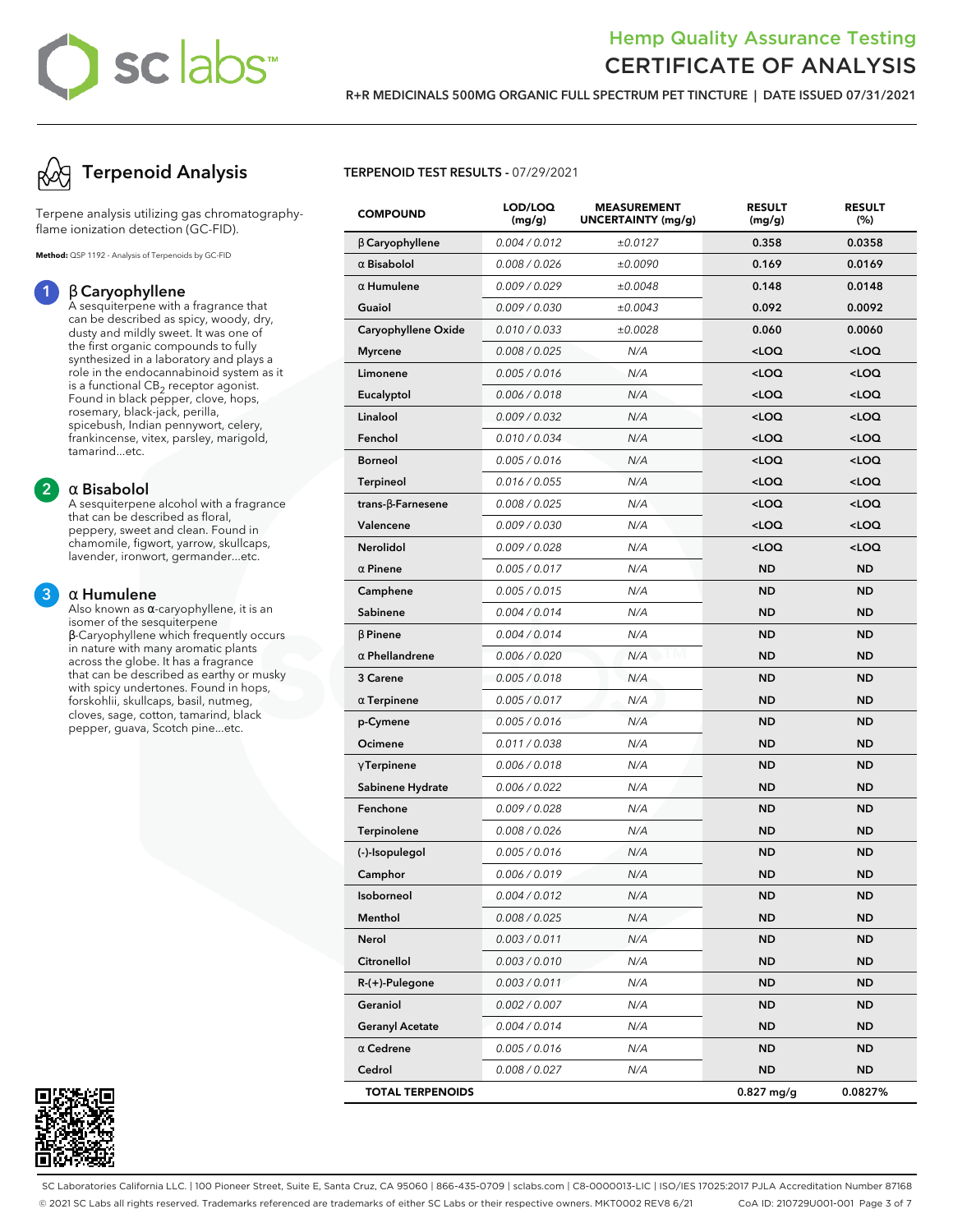# **sclabs**

# Hemp Quality Assurance Testing CERTIFICATE OF ANALYSIS

**R+R MEDICINALS 500MG ORGANIC FULL SPECTRUM PET TINCTURE | DATE ISSUED 07/31/2021**



Terpene analysis utilizing gas chromatographyflame ionization detection (GC-FID).

**Method:** QSP 1192 - Analysis of Terpenoids by GC-FID

### **1** β **Caryophyllene**

A sesquiterpene with a fragrance that can be described as spicy, woody, dry, dusty and mildly sweet. It was one of the first organic compounds to fully synthesized in a laboratory and plays a role in the endocannabinoid system as it is a functional  $\mathsf{CB}_2$  receptor agonist. Found in black pepper, clove, hops, rosemary, black-jack, perilla, spicebush, Indian pennywort, celery, frankincense, vitex, parsley, marigold, tamarind...etc.

### **2** α **Bisabolol**

A sesquiterpene alcohol with a fragrance that can be described as floral, peppery, sweet and clean. Found in chamomile, figwort, yarrow, skullcaps, lavender, ironwort, germander...etc.

### **3** α **Humulene**

Also known as α-caryophyllene, it is an isomer of the sesquiterpene β-Caryophyllene which frequently occurs in nature with many aromatic plants across the globe. It has a fragrance that can be described as earthy or musky with spicy undertones. Found in hops, forskohlii, skullcaps, basil, nutmeg, cloves, sage, cotton, tamarind, black pepper, guava, Scotch pine...etc.



### **TERPENOID TEST RESULTS -** 07/29/2021

| <b>COMPOUND</b>           | LOD/LOQ<br>(mg/g) | <b>MEASUREMENT</b><br>UNCERTAINTY (mg/g) | <b>RESULT</b><br>(mg/g)                         | <b>RESULT</b><br>(%) |
|---------------------------|-------------------|------------------------------------------|-------------------------------------------------|----------------------|
| $\beta$ Caryophyllene     | 0.004 / 0.012     | ±0.0127                                  | 0.358                                           | 0.0358               |
| $\alpha$ Bisabolol        | 0.008 / 0.026     | ±0.0090                                  | 0.169                                           | 0.0169               |
| $\alpha$ Humulene         | 0.009 / 0.029     | ±0.0048                                  | 0.148                                           | 0.0148               |
| Guaiol                    | 0.009 / 0.030     | ±0.0043                                  | 0.092                                           | 0.0092               |
| Caryophyllene Oxide       | 0.010 / 0.033     | ±0.0028                                  | 0.060                                           | 0.0060               |
| <b>Myrcene</b>            | 0.008 / 0.025     | N/A                                      | <loq< th=""><th><loq< th=""></loq<></th></loq<> | <loq< th=""></loq<>  |
| Limonene                  | 0.005 / 0.016     | N/A                                      | <loq< th=""><th><loq< th=""></loq<></th></loq<> | <loq< th=""></loq<>  |
| Eucalyptol                | 0.006 / 0.018     | N/A                                      | <loq< th=""><th><loq< th=""></loq<></th></loq<> | <loq< th=""></loq<>  |
| Linalool                  | 0.009 / 0.032     | N/A                                      | <loq< th=""><th><loq< th=""></loq<></th></loq<> | <loq< th=""></loq<>  |
| Fenchol                   | 0.010 / 0.034     | N/A                                      | <loq< th=""><th><loq< th=""></loq<></th></loq<> | <loq< th=""></loq<>  |
| <b>Borneol</b>            | 0.005 / 0.016     | N/A                                      | <loq< th=""><th><loq< th=""></loq<></th></loq<> | <loq< th=""></loq<>  |
| <b>Terpineol</b>          | 0.016 / 0.055     | N/A                                      | <loq< th=""><th><loq< th=""></loq<></th></loq<> | <loq< th=""></loq<>  |
| trans- $\beta$ -Farnesene | 0.008 / 0.025     | N/A                                      | <loq< th=""><th><loq< th=""></loq<></th></loq<> | <loq< th=""></loq<>  |
| Valencene                 | 0.009 / 0.030     | N/A                                      | $<$ LOQ                                         | <loq< th=""></loq<>  |
| Nerolidol                 | 0.009 / 0.028     | N/A                                      | <loq< th=""><th><loq< th=""></loq<></th></loq<> | <loq< th=""></loq<>  |
| $\alpha$ Pinene           | 0.005 / 0.017     | N/A                                      | <b>ND</b>                                       | <b>ND</b>            |
| Camphene                  | 0.005 / 0.015     | N/A                                      | <b>ND</b>                                       | <b>ND</b>            |
| Sabinene                  | 0.004 / 0.014     | N/A                                      | <b>ND</b>                                       | <b>ND</b>            |
| $\beta$ Pinene            | 0.004 / 0.014     | N/A                                      | <b>ND</b>                                       | <b>ND</b>            |
| $\alpha$ Phellandrene     | 0.006 / 0.020     | N/A                                      | <b>ND</b>                                       | <b>ND</b>            |
| 3 Carene                  | 0.005 / 0.018     | N/A                                      | <b>ND</b>                                       | <b>ND</b>            |
| $\alpha$ Terpinene        | 0.005 / 0.017     | N/A                                      | <b>ND</b>                                       | <b>ND</b>            |
| p-Cymene                  | 0.005 / 0.016     | N/A                                      | <b>ND</b>                                       | <b>ND</b>            |
| Ocimene                   | 0.011 / 0.038     | N/A                                      | <b>ND</b>                                       | <b>ND</b>            |
| $\gamma$ Terpinene        | 0.006 / 0.018     | N/A                                      | <b>ND</b>                                       | <b>ND</b>            |
| Sabinene Hydrate          | 0.006 / 0.022     | N/A                                      | <b>ND</b>                                       | <b>ND</b>            |
| Fenchone                  | 0.009 / 0.028     | N/A                                      | <b>ND</b>                                       | <b>ND</b>            |
| <b>Terpinolene</b>        | 0.008 / 0.026     | N/A                                      | <b>ND</b>                                       | <b>ND</b>            |
| (-)-Isopulegol            | 0.005 / 0.016     | N/A                                      | <b>ND</b>                                       | <b>ND</b>            |
| Camphor                   | 0.006 / 0.019     | N/A                                      | ND                                              | <b>ND</b>            |
| Isoborneol                | 0.004 / 0.012     | N/A                                      | <b>ND</b>                                       | ND                   |
| Menthol                   | 0.008 / 0.025     | N/A                                      | <b>ND</b>                                       | <b>ND</b>            |
| Nerol                     | 0.003 / 0.011     | N/A                                      | ND                                              | ND                   |
| Citronellol               | 0.003 / 0.010     | N/A                                      | <b>ND</b>                                       | ND.                  |
| R-(+)-Pulegone            | 0.003 / 0.011     | N/A                                      | <b>ND</b>                                       | <b>ND</b>            |
| Geraniol                  | 0.002 / 0.007     | N/A                                      | ND                                              | ND                   |
| <b>Geranyl Acetate</b>    | 0.004 / 0.014     | N/A                                      | <b>ND</b>                                       | <b>ND</b>            |
| $\alpha$ Cedrene          | 0.005 / 0.016     | N/A                                      | <b>ND</b>                                       | <b>ND</b>            |
| Cedrol                    | 0.008 / 0.027     | N/A                                      | ND                                              | ND                   |
| <b>TOTAL TERPENOIDS</b>   |                   |                                          | $0.827$ mg/g                                    | 0.0827%              |

SC Laboratories California LLC. | 100 Pioneer Street, Suite E, Santa Cruz, CA 95060 | 866-435-0709 | sclabs.com | C8-0000013-LIC | ISO/IES 17025:2017 PJLA Accreditation Number 87168 © 2021 SC Labs all rights reserved. Trademarks referenced are trademarks of either SC Labs or their respective owners. MKT0002 REV8 6/21 CoA ID: 210729U001-001 Page 3 of 7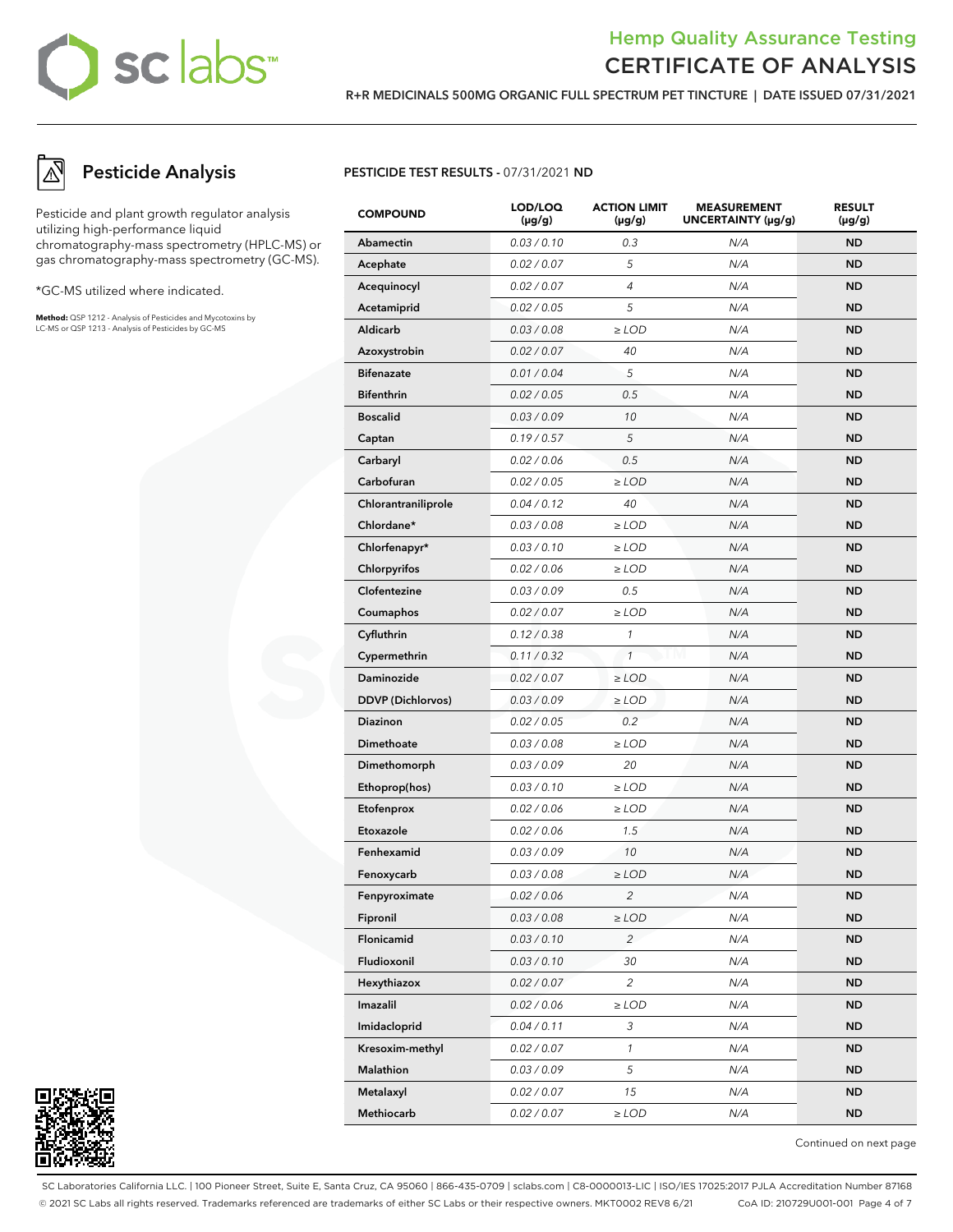# sc labs™

# Hemp Quality Assurance Testing CERTIFICATE OF ANALYSIS

**R+R MEDICINALS 500MG ORGANIC FULL SPECTRUM PET TINCTURE | DATE ISSUED 07/31/2021**

**Pesticide Analysis**

Pesticide and plant growth regulator analysis utilizing high-performance liquid chromatography-mass spectrometry (HPLC-MS) or gas chromatography-mass spectrometry (GC-MS).

\*GC-MS utilized where indicated.

**Method:** QSP 1212 - Analysis of Pesticides and Mycotoxins by LC-MS or QSP 1213 - Analysis of Pesticides by GC-MS

### **PESTICIDE TEST RESULTS -** 07/31/2021 **ND**

| <b>COMPOUND</b>          | LOD/LOQ<br>$(\mu g/g)$ | <b>ACTION LIMIT</b><br>$(\mu g/g)$ | <b>MEASUREMENT</b><br>UNCERTAINTY (µg/g) | <b>RESULT</b><br>$(\mu g/g)$ |
|--------------------------|------------------------|------------------------------------|------------------------------------------|------------------------------|
| Abamectin                | 0.03 / 0.10            | 0.3                                | N/A                                      | <b>ND</b>                    |
| Acephate                 | 0.02 / 0.07            | 5                                  | N/A                                      | <b>ND</b>                    |
| Acequinocyl              | 0.02 / 0.07            | $\overline{4}$                     | N/A                                      | ND                           |
| Acetamiprid              | 0.02 / 0.05            | 5                                  | N/A                                      | <b>ND</b>                    |
| Aldicarb                 | 0.03 / 0.08            | $\geq$ LOD                         | N/A                                      | <b>ND</b>                    |
| Azoxystrobin             | 0.02 / 0.07            | 40                                 | N/A                                      | ND                           |
| <b>Bifenazate</b>        | 0.01 / 0.04            | 5                                  | N/A                                      | <b>ND</b>                    |
| <b>Bifenthrin</b>        | 0.02 / 0.05            | 0.5                                | N/A                                      | <b>ND</b>                    |
| <b>Boscalid</b>          | 0.03 / 0.09            | 10                                 | N/A                                      | ND                           |
| Captan                   | 0.19/0.57              | 5                                  | N/A                                      | <b>ND</b>                    |
| Carbaryl                 | 0.02 / 0.06            | 0.5                                | N/A                                      | <b>ND</b>                    |
| Carbofuran               | 0.02 / 0.05            | $\ge$ LOD                          | N/A                                      | ND                           |
| Chlorantraniliprole      | 0.04 / 0.12            | 40                                 | N/A                                      | <b>ND</b>                    |
| Chlordane*               | 0.03 / 0.08            | $\ge$ LOD                          | N/A                                      | <b>ND</b>                    |
| Chlorfenapyr*            | 0.03 / 0.10            | $\geq$ LOD                         | N/A                                      | ND                           |
| Chlorpyrifos             | 0.02 / 0.06            | $\ge$ LOD                          | N/A                                      | <b>ND</b>                    |
| Clofentezine             | 0.03 / 0.09            | 0.5                                | N/A                                      | <b>ND</b>                    |
| Coumaphos                | 0.02 / 0.07            | $\geq$ LOD                         | N/A                                      | ND                           |
| Cyfluthrin               | 0.12 / 0.38            | $\mathcal{I}$                      | N/A                                      | <b>ND</b>                    |
| Cypermethrin             | 0.11 / 0.32            | $\mathbf{1}$                       | N/A                                      | <b>ND</b>                    |
| Daminozide               | 0.02 / 0.07            | $\ge$ LOD                          | N/A                                      | ND                           |
| <b>DDVP</b> (Dichlorvos) | 0.03 / 0.09            | $\geq$ LOD                         | N/A                                      | <b>ND</b>                    |
| Diazinon                 | 0.02 / 0.05            | 0.2                                | N/A                                      | <b>ND</b>                    |
| Dimethoate               | 0.03 / 0.08            | $\geq$ LOD                         | N/A                                      | ND                           |
| Dimethomorph             | 0.03 / 0.09            | 20                                 | N/A                                      | <b>ND</b>                    |
| Ethoprop(hos)            | 0.03 / 0.10            | $\geq$ LOD                         | N/A                                      | <b>ND</b>                    |
| Etofenprox               | 0.02 / 0.06            | $\ge$ LOD                          | N/A                                      | ND                           |
| Etoxazole                | 0.02 / 0.06            | 1.5                                | N/A                                      | <b>ND</b>                    |
| Fenhexamid               | 0.03 / 0.09            | 10                                 | N/A                                      | <b>ND</b>                    |
| Fenoxycarb               | 0.03 / 0.08            | $\geq$ LOD                         | N/A                                      | ND                           |
| Fenpyroximate            | 0.02 / 0.06            | $\overline{z}$                     | N/A                                      | <b>ND</b>                    |
| Fipronil                 | 0.03 / 0.08            | $\geq$ LOD                         | N/A                                      | <b>ND</b>                    |
| Flonicamid               | 0.03 / 0.10            | $\overline{c}$                     | N/A                                      | <b>ND</b>                    |
| Fludioxonil              | 0.03 / 0.10            | 30                                 | N/A                                      | <b>ND</b>                    |
| Hexythiazox              | 0.02 / 0.07            | $\overline{c}$                     | N/A                                      | ND.                          |
| Imazalil                 | 0.02 / 0.06            | $\geq$ LOD                         | N/A                                      | ND.                          |
| Imidacloprid             | 0.04 / 0.11            | 3                                  | N/A                                      | ND.                          |
| Kresoxim-methyl          | 0.02 / 0.07            | $\mathcal{I}$                      | N/A                                      | ND.                          |
| Malathion                | 0.03 / 0.09            | 5                                  | N/A                                      | ND.                          |
| Metalaxyl                | 0.02 / 0.07            | 15                                 | N/A                                      | <b>ND</b>                    |
| Methiocarb               | 0.02 / 0.07            | $\geq$ LOD                         | N/A                                      | ND                           |

Continued on next page

SC Laboratories California LLC. | 100 Pioneer Street, Suite E, Santa Cruz, CA 95060 | 866-435-0709 | sclabs.com | C8-0000013-LIC | ISO/IES 17025:2017 PJLA Accreditation Number 87168 © 2021 SC Labs all rights reserved. Trademarks referenced are trademarks of either SC Labs or their respective owners. MKT0002 REV8 6/21 CoA ID: 210729U001-001 Page 4 of 7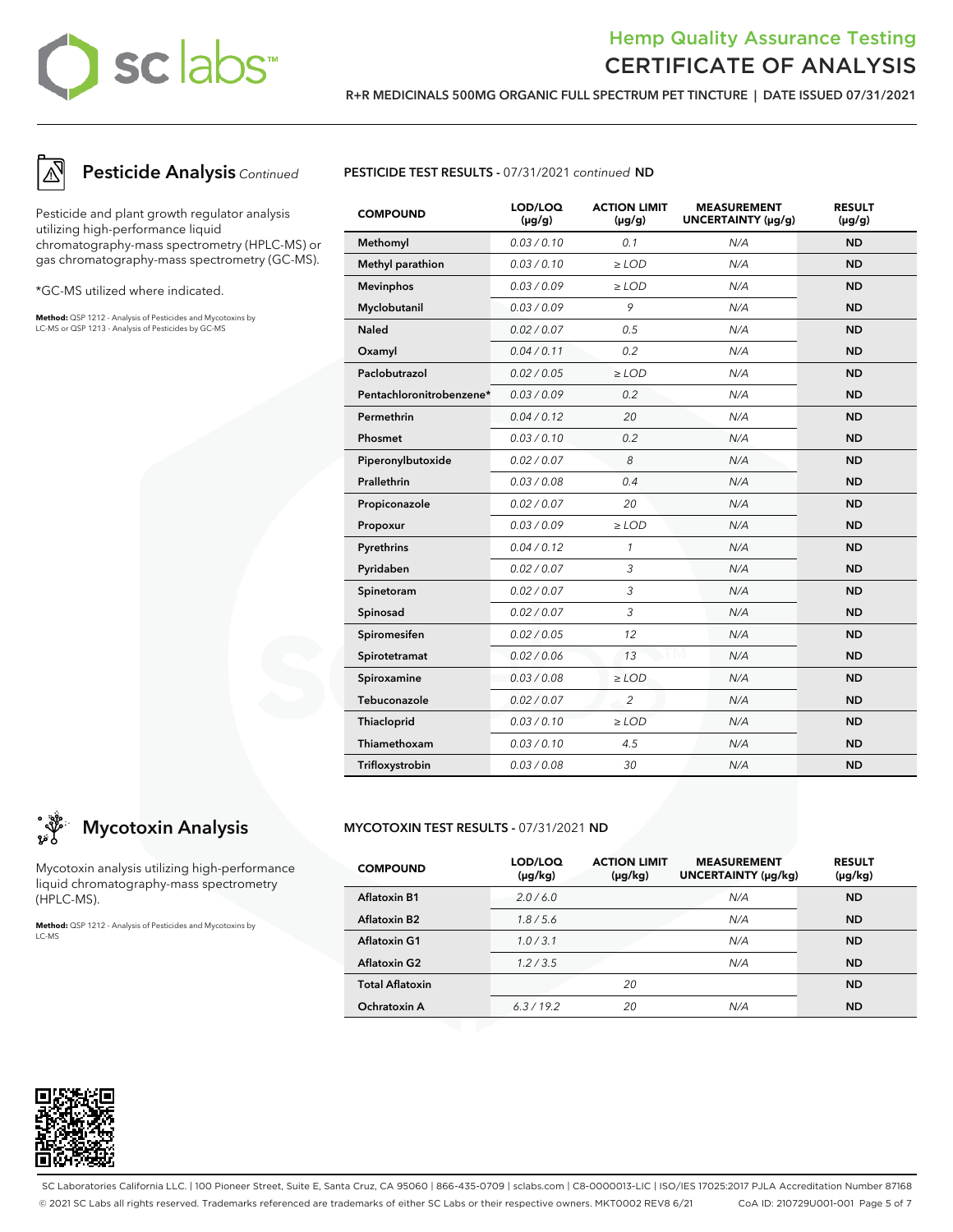# sc labs™

# Hemp Quality Assurance Testing CERTIFICATE OF ANALYSIS

**R+R MEDICINALS 500MG ORGANIC FULL SPECTRUM PET TINCTURE | DATE ISSUED 07/31/2021**



# **Pesticide Analysis** Continued

Pesticide and plant growth regulator analysis utilizing high-performance liquid chromatography-mass spectrometry (HPLC-MS) or gas chromatography-mass spectrometry (GC-MS).

\*GC-MS utilized where indicated.

**Method:** QSP 1212 - Analysis of Pesticides and Mycotoxins by LC-MS or QSP 1213 - Analysis of Pesticides by GC-MS



| <b>COMPOUND</b>          | LOD/LOQ<br>$(\mu g/g)$ | <b>ACTION LIMIT</b><br>$(\mu g/g)$ | <b>MEASUREMENT</b><br>UNCERTAINTY (µg/g) | <b>RESULT</b><br>$(\mu g/g)$ |
|--------------------------|------------------------|------------------------------------|------------------------------------------|------------------------------|
| Methomyl                 | 0.03/0.10              | 0.1                                | N/A                                      | <b>ND</b>                    |
| Methyl parathion         | 0.03/0.10              | $>$ LOD                            | N/A                                      | <b>ND</b>                    |
| <b>Mevinphos</b>         | 0.03 / 0.09            | $\geq$ LOD                         | N/A                                      | <b>ND</b>                    |
| Myclobutanil             | 0.03/0.09              | 9                                  | N/A                                      | <b>ND</b>                    |
| <b>Naled</b>             | 0.02 / 0.07            | 0.5                                | N/A                                      | <b>ND</b>                    |
| Oxamyl                   | 0.04 / 0.11            | 0.2                                | N/A                                      | <b>ND</b>                    |
| Paclobutrazol            | 0.02 / 0.05            | $\geq$ LOD                         | N/A                                      | <b>ND</b>                    |
| Pentachloronitrobenzene* | 0.03/0.09              | 0.2                                | N/A                                      | <b>ND</b>                    |
| Permethrin               | 0.04 / 0.12            | 20                                 | N/A                                      | <b>ND</b>                    |
| Phosmet                  | 0.03/0.10              | 0.2                                | N/A                                      | <b>ND</b>                    |
| Piperonylbutoxide        | 0.02 / 0.07            | 8                                  | N/A                                      | <b>ND</b>                    |
| Prallethrin              | 0.03 / 0.08            | 0.4                                | N/A                                      | <b>ND</b>                    |
| Propiconazole            | 0.02 / 0.07            | 20                                 | N/A                                      | <b>ND</b>                    |
| Propoxur                 | 0.03 / 0.09            | $\geq$ LOD                         | N/A                                      | <b>ND</b>                    |
| Pyrethrins               | 0.04 / 0.12            | $\mathbf{1}$                       | N/A                                      | <b>ND</b>                    |
| Pyridaben                | 0.02 / 0.07            | 3                                  | N/A                                      | <b>ND</b>                    |
| Spinetoram               | 0.02 / 0.07            | 3                                  | N/A                                      | <b>ND</b>                    |
| Spinosad                 | 0.02 / 0.07            | 3                                  | N/A                                      | <b>ND</b>                    |
| Spiromesifen             | 0.02 / 0.05            | 12                                 | N/A                                      | <b>ND</b>                    |
| Spirotetramat            | 0.02 / 0.06            | 13                                 | N/A                                      | <b>ND</b>                    |
| Spiroxamine              | 0.03 / 0.08            | $\ge$ LOD                          | N/A                                      | <b>ND</b>                    |
| Tebuconazole             | 0.02 / 0.07            | $\overline{2}$                     | N/A                                      | <b>ND</b>                    |
| Thiacloprid              | 0.03 / 0.10            | $\ge$ LOD                          | N/A                                      | <b>ND</b>                    |
| Thiamethoxam             | 0.03/0.10              | 4.5                                | N/A                                      | <b>ND</b>                    |
| Trifloxystrobin          | 0.03 / 0.08            | 30                                 | N/A                                      | <b>ND</b>                    |

# **Mycotoxin Analysis**

Mycotoxin analysis utilizing high-performance liquid chromatography-mass spectrometry (HPLC-MS).

**Method:** QSP 1212 - Analysis of Pesticides and Mycotoxins by LC-MS

### **MYCOTOXIN TEST RESULTS -** 07/31/2021 **ND**

| <b>COMPOUND</b>        | LOD/LOQ<br>$(\mu g/kg)$ | <b>ACTION LIMIT</b><br>$(\mu g/kg)$ | <b>MEASUREMENT</b><br>UNCERTAINTY (µq/kq) | <b>RESULT</b><br>$(\mu g/kg)$ |
|------------------------|-------------------------|-------------------------------------|-------------------------------------------|-------------------------------|
| <b>Aflatoxin B1</b>    | 2.0/6.0                 |                                     | N/A                                       | <b>ND</b>                     |
| <b>Aflatoxin B2</b>    | 1.8/5.6                 |                                     | N/A                                       | <b>ND</b>                     |
| <b>Aflatoxin G1</b>    | 1.0/3.1                 |                                     | N/A                                       | <b>ND</b>                     |
| <b>Aflatoxin G2</b>    | 1.2/3.5                 |                                     | N/A                                       | <b>ND</b>                     |
| <b>Total Aflatoxin</b> |                         | 20                                  |                                           | <b>ND</b>                     |
| Ochratoxin A           | 6.3/19.2                | 20                                  | N/A                                       | <b>ND</b>                     |



SC Laboratories California LLC. | 100 Pioneer Street, Suite E, Santa Cruz, CA 95060 | 866-435-0709 | sclabs.com | C8-0000013-LIC | ISO/IES 17025:2017 PJLA Accreditation Number 87168 © 2021 SC Labs all rights reserved. Trademarks referenced are trademarks of either SC Labs or their respective owners. MKT0002 REV8 6/21 CoA ID: 210729U001-001 Page 5 of 7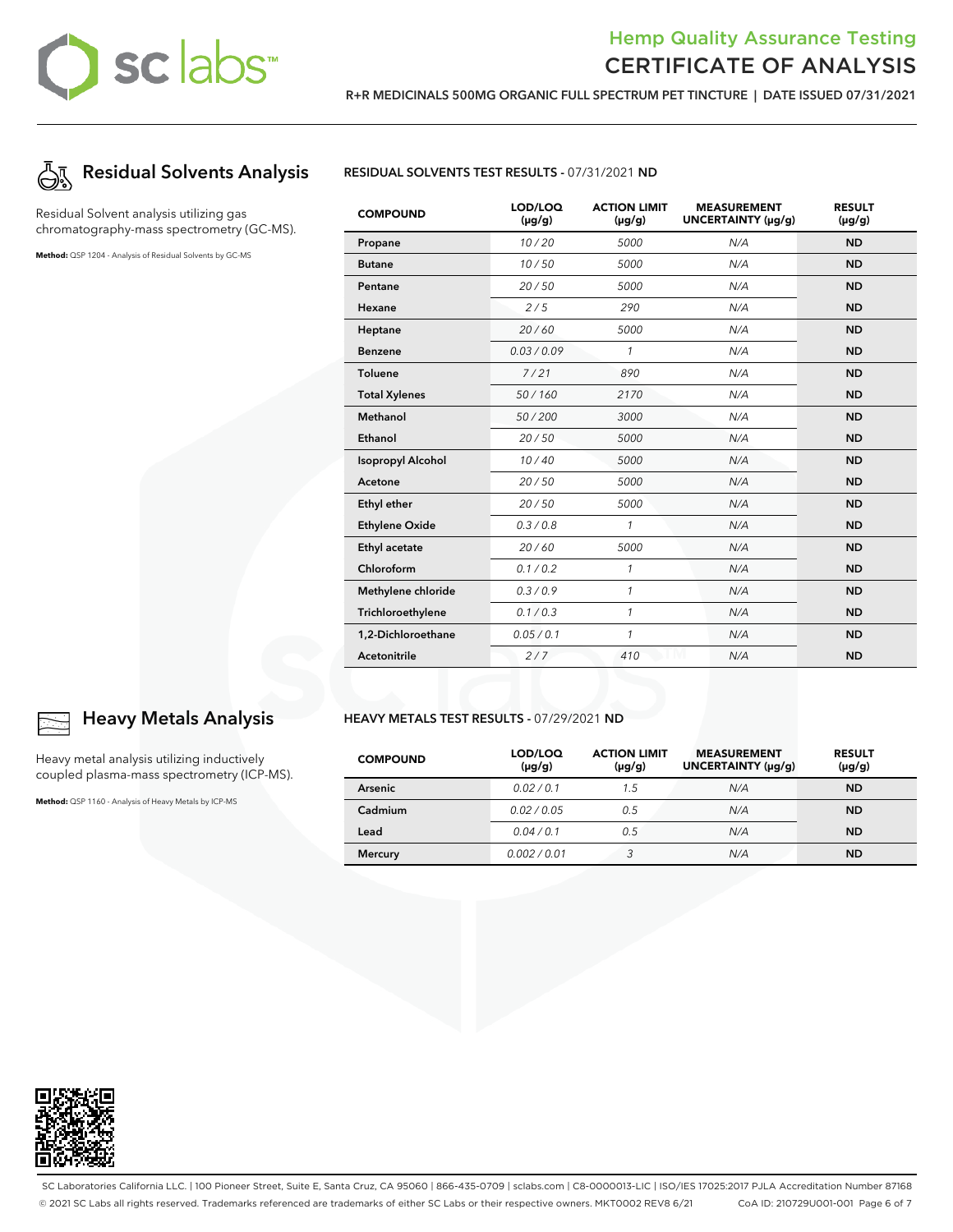# sclabs

# Hemp Quality Assurance Testing CERTIFICATE OF ANALYSIS



Residual Solvent analysis utilizing gas chromatography-mass spectrometry (GC-MS).

**Method:** QSP 1204 - Analysis of Residual Solvents by GC-MS



| <b>COMPOUND</b>          | LOD/LOQ<br>$(\mu g/g)$ | <b>ACTION LIMIT</b><br>$(\mu g/g)$ | <b>MEASUREMENT</b><br>UNCERTAINTY (µg/g) | <b>RESULT</b><br>$(\mu g/g)$ |
|--------------------------|------------------------|------------------------------------|------------------------------------------|------------------------------|
| Propane                  | 10/20                  | 5000                               | N/A                                      | <b>ND</b>                    |
| <b>Butane</b>            | 10/50                  | 5000                               | N/A                                      | <b>ND</b>                    |
| Pentane                  | 20/50                  | 5000                               | N/A                                      | <b>ND</b>                    |
| Hexane                   | 2/5                    | 290                                | N/A                                      | <b>ND</b>                    |
| Heptane                  | 20/60                  | 5000                               | N/A                                      | <b>ND</b>                    |
| <b>Benzene</b>           | 0.03/0.09              | $\mathcal{I}$                      | N/A                                      | <b>ND</b>                    |
| <b>Toluene</b>           | 7/21                   | 890                                | N/A                                      | <b>ND</b>                    |
| <b>Total Xylenes</b>     | 50/160                 | 2170                               | N/A                                      | <b>ND</b>                    |
| <b>Methanol</b>          | 50/200                 | 3000                               | N/A                                      | <b>ND</b>                    |
| Ethanol                  | 20/50                  | 5000                               | N/A                                      | <b>ND</b>                    |
| <b>Isopropyl Alcohol</b> | 10/40                  | 5000                               | N/A                                      | <b>ND</b>                    |
| Acetone                  | 20/50                  | 5000                               | N/A                                      | <b>ND</b>                    |
| Ethyl ether              | 20/50                  | 5000                               | N/A                                      | <b>ND</b>                    |
| <b>Ethylene Oxide</b>    | 0.3 / 0.8              | $\mathcal{I}$                      | N/A                                      | <b>ND</b>                    |
| Ethyl acetate            | 20/60                  | 5000                               | N/A                                      | <b>ND</b>                    |
| Chloroform               | 0.1 / 0.2              | $\mathcal{I}$                      | N/A                                      | <b>ND</b>                    |
| Methylene chloride       | 0.3/0.9                | $\mathcal{I}$                      | N/A                                      | <b>ND</b>                    |
| Trichloroethylene        | 0.1 / 0.3              | $\mathcal{I}$                      | N/A                                      | <b>ND</b>                    |
| 1,2-Dichloroethane       | 0.05 / 0.1             | $\mathcal{I}$                      | N/A                                      | <b>ND</b>                    |
| Acetonitrile             | 2/7                    | 410                                | N/A                                      | <b>ND</b>                    |

**R+R MEDICINALS 500MG ORGANIC FULL SPECTRUM PET TINCTURE | DATE ISSUED 07/31/2021**

### **HEAVY METALS TEST RESULTS -** 07/29/2021 **ND**

| <b>COMPOUND</b> | LOD/LOQ<br>$(\mu g/g)$ | <b>ACTION LIMIT</b><br>$(\mu g/g)$ | <b>MEASUREMENT</b><br>UNCERTAINTY (µg/g) | <b>RESULT</b><br>$(\mu g/g)$ |
|-----------------|------------------------|------------------------------------|------------------------------------------|------------------------------|
| Arsenic         | 0.02/0.1               | 1.5                                | N/A                                      | <b>ND</b>                    |
| Cadmium         | 0.02 / 0.05            | 0.5                                | N/A                                      | <b>ND</b>                    |
| Lead            | 0.04/0.1               | 0.5                                | N/A                                      | <b>ND</b>                    |
| <b>Mercury</b>  | 0.002 / 0.01           |                                    | N/A                                      | <b>ND</b>                    |



# **Heavy Metals Analysis**

Heavy metal analysis utilizing inductively coupled plasma-mass spectrometry (ICP-MS).

**Method:** QSP 1160 - Analysis of Heavy Metals by ICP-MS



SC Laboratories California LLC. | 100 Pioneer Street, Suite E, Santa Cruz, CA 95060 | 866-435-0709 | sclabs.com | C8-0000013-LIC | ISO/IES 17025:2017 PJLA Accreditation Number 87168 © 2021 SC Labs all rights reserved. Trademarks referenced are trademarks of either SC Labs or their respective owners. MKT0002 REV8 6/21 CoA ID: 210729U001-001 Page 6 of 7